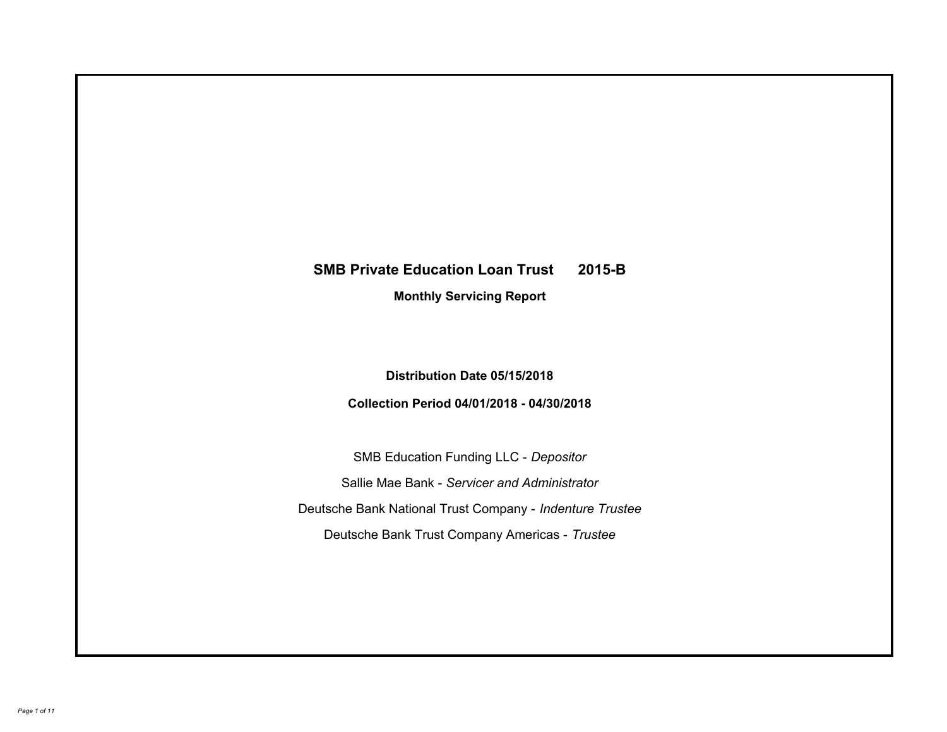# **SMB Private Education Loan Trust 2015-B Monthly Servicing Report**

### **Distribution Date 05/15/2018**

### **Collection Period 04/01/2018 - 04/30/2018**

SMB Education Funding LLC - *Depositor* Sallie Mae Bank - *Servicer and Administrator* Deutsche Bank National Trust Company - *Indenture Trustee* Deutsche Bank Trust Company Americas - *Trustee*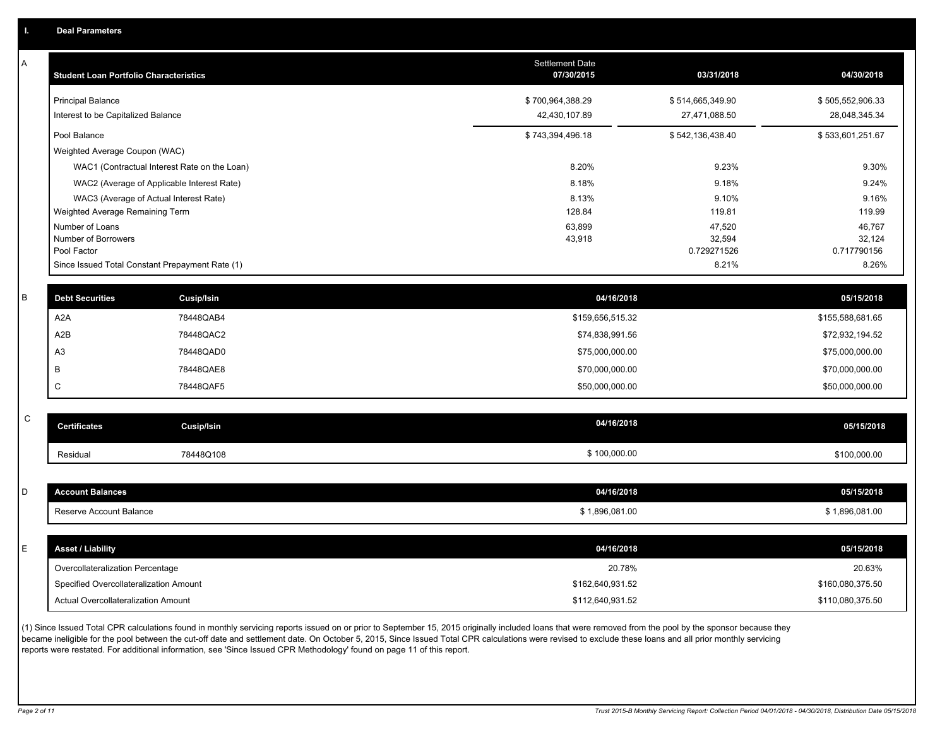| Α | <b>Student Loan Portfolio Characteristics</b> |                                                 | Settlement Date<br>07/30/2015 | 03/31/2018            | 04/30/2018            |
|---|-----------------------------------------------|-------------------------------------------------|-------------------------------|-----------------------|-----------------------|
|   | <b>Principal Balance</b>                      |                                                 | \$700,964,388.29              | \$514,665,349.90      | \$505,552,906.33      |
|   | Interest to be Capitalized Balance            |                                                 | 42,430,107.89                 | 27,471,088.50         | 28,048,345.34         |
|   | Pool Balance                                  |                                                 | \$743,394,496.18              | \$542,136,438.40      | \$533,601,251.67      |
|   | Weighted Average Coupon (WAC)                 |                                                 |                               |                       |                       |
|   |                                               | WAC1 (Contractual Interest Rate on the Loan)    | 8.20%                         | 9.23%                 | 9.30%                 |
|   |                                               | WAC2 (Average of Applicable Interest Rate)      | 8.18%                         | 9.18%                 | 9.24%                 |
|   |                                               | WAC3 (Average of Actual Interest Rate)          | 8.13%                         | 9.10%                 | 9.16%                 |
|   | Weighted Average Remaining Term               |                                                 | 128.84                        | 119.81                | 119.99                |
|   | Number of Loans                               |                                                 | 63,899                        | 47,520                | 46,767                |
|   | Number of Borrowers<br>Pool Factor            |                                                 | 43,918                        | 32,594<br>0.729271526 | 32,124<br>0.717790156 |
|   |                                               | Since Issued Total Constant Prepayment Rate (1) |                               | 8.21%                 | 8.26%                 |
|   |                                               |                                                 |                               |                       |                       |
| B | <b>Debt Securities</b>                        | Cusip/Isin                                      | 04/16/2018                    |                       | 05/15/2018            |
|   | A2A                                           | 78448QAB4                                       | \$159,656,515.32              |                       | \$155,588,681.65      |
|   | A2B                                           | 78448QAC2                                       | \$74,838,991.56               |                       | \$72,932,194.52       |
|   | A <sub>3</sub>                                | 78448QAD0                                       | \$75,000,000.00               |                       | \$75,000,000.00       |
|   | B                                             | 78448QAE8                                       | \$70,000,000.00               |                       | \$70,000,000.00       |
|   | $\mathbf C$                                   | 78448QAF5                                       | \$50,000,000.00               |                       | \$50,000,000.00       |
|   |                                               |                                                 |                               |                       |                       |
| C | <b>Certificates</b>                           | <b>Cusip/Isin</b>                               | 04/16/2018                    |                       | 05/15/2018            |
|   | Residual                                      | 78448Q108                                       | \$100,000.00                  |                       | \$100,000.00          |
|   |                                               |                                                 |                               |                       |                       |
| D | <b>Account Balances</b>                       |                                                 | 04/16/2018                    |                       | 05/15/2018            |
|   | Reserve Account Balance                       |                                                 | \$1,896,081.00                |                       | \$1,896,081.00        |
|   |                                               |                                                 |                               |                       |                       |
| E | <b>Asset / Liability</b>                      |                                                 | 04/16/2018                    |                       | 05/15/2018            |
|   | Overcollateralization Percentage              |                                                 | 20.78%                        |                       | 20.63%                |
|   | Specified Overcollateralization Amount        |                                                 | \$162,640,931.52              |                       | \$160,080,375.50      |
|   | Actual Overcollateralization Amount           |                                                 | \$112,640,931.52              |                       | \$110,080,375.50      |
|   |                                               |                                                 |                               |                       |                       |

(1) Since Issued Total CPR calculations found in monthly servicing reports issued on or prior to September 15, 2015 originally included loans that were removed from the pool by the sponsor because they became ineligible for the pool between the cut-off date and settlement date. On October 5, 2015, Since Issued Total CPR calculations were revised to exclude these loans and all prior monthly servicing reports were restated. For additional information, see 'Since Issued CPR Methodology' found on page 11 of this report.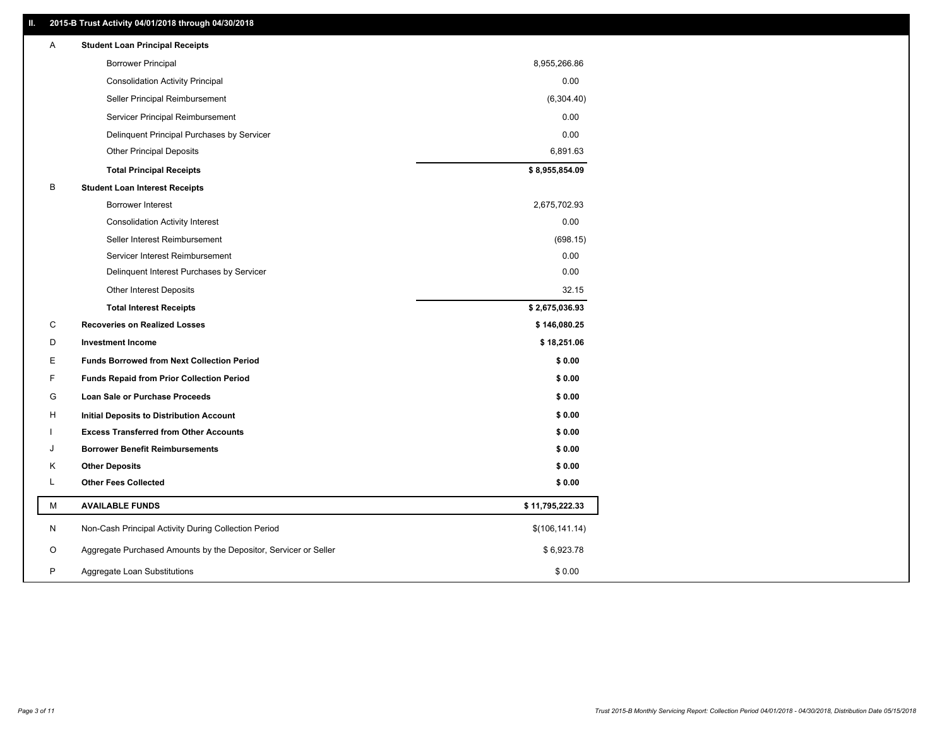### **II. 2015-B Trust Activity 04/01/2018 through 04/30/2018**

| Α | <b>Student Loan Principal Receipts</b>                           |                 |  |
|---|------------------------------------------------------------------|-----------------|--|
|   | <b>Borrower Principal</b>                                        | 8,955,266.86    |  |
|   | <b>Consolidation Activity Principal</b>                          | 0.00            |  |
|   | Seller Principal Reimbursement                                   | (6,304.40)      |  |
|   | Servicer Principal Reimbursement                                 | 0.00            |  |
|   | Delinquent Principal Purchases by Servicer                       | 0.00            |  |
|   | <b>Other Principal Deposits</b>                                  | 6,891.63        |  |
|   | <b>Total Principal Receipts</b>                                  | \$8,955,854.09  |  |
| B | <b>Student Loan Interest Receipts</b>                            |                 |  |
|   | <b>Borrower Interest</b>                                         | 2,675,702.93    |  |
|   | <b>Consolidation Activity Interest</b>                           | 0.00            |  |
|   | Seller Interest Reimbursement                                    | (698.15)        |  |
|   | Servicer Interest Reimbursement                                  | 0.00            |  |
|   | Delinquent Interest Purchases by Servicer                        | 0.00            |  |
|   | <b>Other Interest Deposits</b>                                   | 32.15           |  |
|   | <b>Total Interest Receipts</b>                                   | \$2,675,036.93  |  |
| C | <b>Recoveries on Realized Losses</b>                             | \$146,080.25    |  |
| D | <b>Investment Income</b>                                         | \$18,251.06     |  |
| Е | <b>Funds Borrowed from Next Collection Period</b>                | \$0.00          |  |
| F | <b>Funds Repaid from Prior Collection Period</b>                 | \$0.00          |  |
| G | Loan Sale or Purchase Proceeds                                   | \$0.00          |  |
| н | Initial Deposits to Distribution Account                         | \$0.00          |  |
|   | <b>Excess Transferred from Other Accounts</b>                    | \$0.00          |  |
| J | <b>Borrower Benefit Reimbursements</b>                           | \$0.00          |  |
| Κ | <b>Other Deposits</b>                                            | \$0.00          |  |
| L | <b>Other Fees Collected</b>                                      | \$0.00          |  |
| M | <b>AVAILABLE FUNDS</b>                                           | \$11,795,222.33 |  |
| N | Non-Cash Principal Activity During Collection Period             | \$(106, 141.14) |  |
| O | Aggregate Purchased Amounts by the Depositor, Servicer or Seller | \$6,923.78      |  |
| P | Aggregate Loan Substitutions                                     | \$0.00          |  |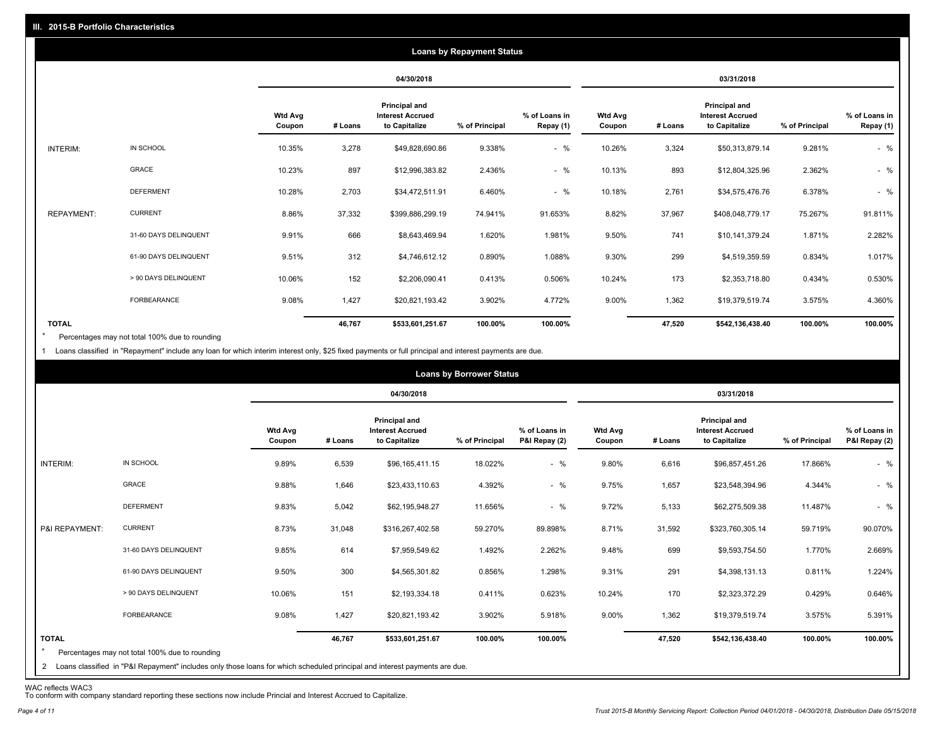|                   |                       |                          |         |                                                           | <b>Loans by Repayment Status</b> |                            |                          |         |                                                                  |                |                            |
|-------------------|-----------------------|--------------------------|---------|-----------------------------------------------------------|----------------------------------|----------------------------|--------------------------|---------|------------------------------------------------------------------|----------------|----------------------------|
|                   |                       |                          |         | 04/30/2018                                                |                                  |                            |                          |         | 03/31/2018                                                       |                |                            |
|                   |                       | <b>Wtd Avg</b><br>Coupon | # Loans | Principal and<br><b>Interest Accrued</b><br>to Capitalize | % of Principal                   | % of Loans in<br>Repay (1) | <b>Wtd Avg</b><br>Coupon | # Loans | <b>Principal and</b><br><b>Interest Accrued</b><br>to Capitalize | % of Principal | % of Loans in<br>Repay (1) |
| INTERIM:          | IN SCHOOL             | 10.35%                   | 3,278   | \$49,828,690.86                                           | 9.338%                           | $-$ %                      | 10.26%                   | 3,324   | \$50,313,879.14                                                  | 9.281%         | $-$ %                      |
|                   | <b>GRACE</b>          | 10.23%                   | 897     | \$12,996,383.82                                           | 2.436%                           | $-$ %                      | 10.13%                   | 893     | \$12,804,325.96                                                  | 2.362%         | $-$ %                      |
|                   | <b>DEFERMENT</b>      | 10.28%                   | 2,703   | \$34,472,511.91                                           | 6.460%                           | $-$ %                      | 10.18%                   | 2,761   | \$34,575,476.76                                                  | 6.378%         | $-$ %                      |
| <b>REPAYMENT:</b> | <b>CURRENT</b>        | 8.86%                    | 37,332  | \$399,886,299.19                                          | 74.941%                          | 91.653%                    | 8.82%                    | 37,967  | \$408,048,779.17                                                 | 75.267%        | 91.811%                    |
|                   | 31-60 DAYS DELINQUENT | 9.91%                    | 666     | \$8,643,469.94                                            | 1.620%                           | 1.981%                     | 9.50%                    | 741     | \$10,141,379.24                                                  | 1.871%         | 2.282%                     |
|                   | 61-90 DAYS DELINQUENT | 9.51%                    | 312     | \$4,746,612.12                                            | 0.890%                           | 1.088%                     | 9.30%                    | 299     | \$4,519,359.59                                                   | 0.834%         | 1.017%                     |
|                   | > 90 DAYS DELINQUENT  | 10.06%                   | 152     | \$2,206,090.41                                            | 0.413%                           | 0.506%                     | 10.24%                   | 173     | \$2,353,718.80                                                   | 0.434%         | 0.530%                     |
|                   | <b>FORBEARANCE</b>    | 9.08%                    | 1,427   | \$20,821,193.42                                           | 3.902%                           | 4.772%                     | 9.00%                    | 1,362   | \$19,379,519.74                                                  | 3.575%         | 4.360%                     |
| <b>TOTAL</b>      |                       |                          | 46,767  | \$533,601,251.67                                          | 100.00%                          | 100.00%                    |                          | 47,520  | \$542,136,438.40                                                 | 100.00%        | 100.00%                    |

Percentages may not total 100% due to rounding \*

1 Loans classified in "Repayment" include any loan for which interim interest only, \$25 fixed payments or full principal and interest payments are due.

|                                                                                                                                                                                                           |                          |         | 04/30/2018                                                |                |                                |                          |         | 03/31/2018                                                       |                |                                |
|-----------------------------------------------------------------------------------------------------------------------------------------------------------------------------------------------------------|--------------------------|---------|-----------------------------------------------------------|----------------|--------------------------------|--------------------------|---------|------------------------------------------------------------------|----------------|--------------------------------|
|                                                                                                                                                                                                           | <b>Wtd Avg</b><br>Coupon | # Loans | Principal and<br><b>Interest Accrued</b><br>to Capitalize | % of Principal | % of Loans in<br>P&I Repay (2) | <b>Wtd Avg</b><br>Coupon | # Loans | <b>Principal and</b><br><b>Interest Accrued</b><br>to Capitalize | % of Principal | % of Loans in<br>P&I Repay (2) |
| IN SCHOOL<br>INTERIM:                                                                                                                                                                                     | 9.89%                    | 6,539   | \$96,165,411.15                                           | 18.022%        | $-$ %                          | 9.80%                    | 6,616   | \$96,857,451.26                                                  | 17.866%        | $-$ %                          |
| <b>GRACE</b>                                                                                                                                                                                              | 9.88%                    | 1,646   | \$23,433,110.63                                           | 4.392%         | $-$ %                          | 9.75%                    | 1,657   | \$23,548,394.96                                                  | 4.344%         | $-$ %                          |
| <b>DEFERMENT</b>                                                                                                                                                                                          | 9.83%                    | 5,042   | \$62,195,948.27                                           | 11.656%        | $-$ %                          | 9.72%                    | 5,133   | \$62,275,509.38                                                  | 11.487%        | $-$ %                          |
| <b>CURRENT</b><br>P&I REPAYMENT:                                                                                                                                                                          | 8.73%                    | 31,048  | \$316,267,402.58                                          | 59.270%        | 89.898%                        | 8.71%                    | 31,592  | \$323,760,305.14                                                 | 59.719%        | 90.070%                        |
| 31-60 DAYS DELINQUENT                                                                                                                                                                                     | 9.85%                    | 614     | \$7,959,549.62                                            | 1.492%         | 2.262%                         | 9.48%                    | 699     | \$9,593,754.50                                                   | 1.770%         | 2.669%                         |
| 61-90 DAYS DELINQUENT                                                                                                                                                                                     | 9.50%                    | 300     | \$4,565,301.82                                            | 0.856%         | 1.298%                         | 9.31%                    | 291     | \$4,398,131.13                                                   | 0.811%         | 1.224%                         |
| > 90 DAYS DELINQUENT                                                                                                                                                                                      | 10.06%                   | 151     | \$2,193,334.18                                            | 0.411%         | 0.623%                         | 10.24%                   | 170     | \$2,323,372.29                                                   | 0.429%         | 0.646%                         |
| <b>FORBEARANCE</b>                                                                                                                                                                                        | 9.08%                    | 1,427   | \$20,821,193.42                                           | 3.902%         | 5.918%                         | 9.00%                    | 1,362   | \$19,379,519.74                                                  | 3.575%         | 5.391%                         |
| <b>TOTAL</b><br>$\star$<br>Percentages may not total 100% due to rounding<br>2 Loans classified in "P&I Repayment" includes only those loans for which scheduled principal and interest payments are due. |                          | 46,767  | \$533,601,251.67                                          | 100.00%        | 100.00%                        |                          | 47,520  | \$542,136,438.40                                                 | 100.00%        | 100.00%                        |

WAC reflects WAC3 To conform with company standard reporting these sections now include Princial and Interest Accrued to Capitalize.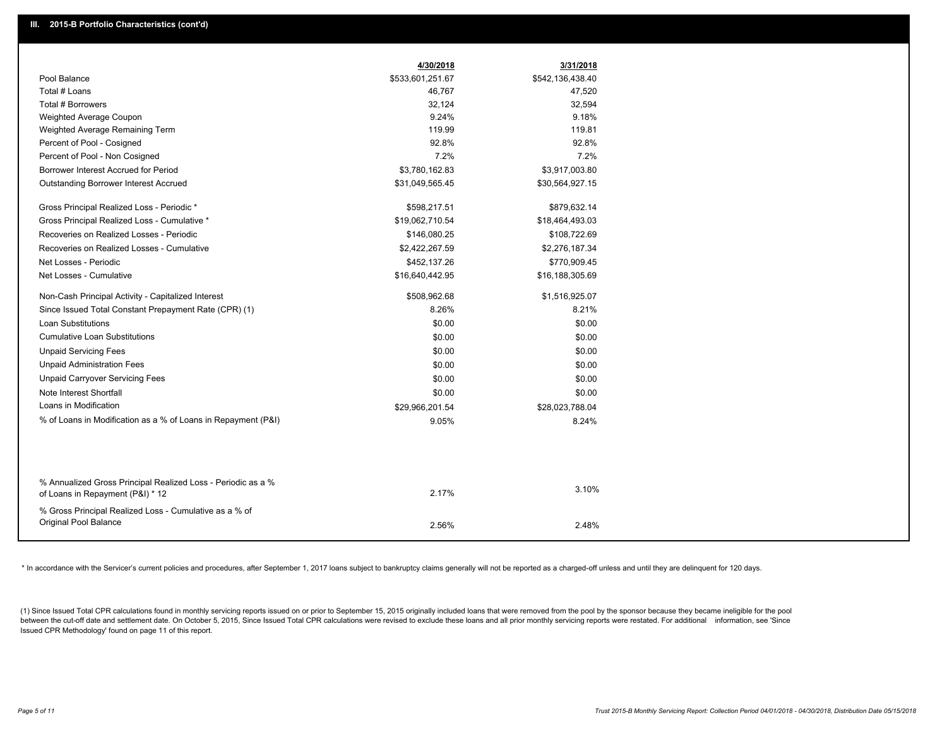|                                                                                                  | 4/30/2018        | 3/31/2018        |
|--------------------------------------------------------------------------------------------------|------------------|------------------|
| Pool Balance                                                                                     | \$533,601,251.67 | \$542,136,438.40 |
| Total # Loans                                                                                    | 46,767           | 47,520           |
| <b>Total # Borrowers</b>                                                                         | 32,124           | 32,594           |
| Weighted Average Coupon                                                                          | 9.24%            | 9.18%            |
| Weighted Average Remaining Term                                                                  | 119.99           | 119.81           |
| Percent of Pool - Cosigned                                                                       | 92.8%            | 92.8%            |
| Percent of Pool - Non Cosigned                                                                   | 7.2%             | 7.2%             |
| Borrower Interest Accrued for Period                                                             | \$3,780,162.83   | \$3,917,003.80   |
| <b>Outstanding Borrower Interest Accrued</b>                                                     | \$31,049,565.45  | \$30,564,927.15  |
| Gross Principal Realized Loss - Periodic *                                                       | \$598,217.51     | \$879,632.14     |
| Gross Principal Realized Loss - Cumulative *                                                     | \$19,062,710.54  | \$18,464,493.03  |
| Recoveries on Realized Losses - Periodic                                                         | \$146,080.25     | \$108,722.69     |
| Recoveries on Realized Losses - Cumulative                                                       | \$2,422,267.59   | \$2,276,187.34   |
| Net Losses - Periodic                                                                            | \$452,137.26     | \$770,909.45     |
| Net Losses - Cumulative                                                                          | \$16,640,442.95  | \$16,188,305.69  |
| Non-Cash Principal Activity - Capitalized Interest                                               | \$508,962.68     | \$1,516,925.07   |
| Since Issued Total Constant Prepayment Rate (CPR) (1)                                            | 8.26%            | 8.21%            |
| <b>Loan Substitutions</b>                                                                        | \$0.00           | \$0.00           |
| <b>Cumulative Loan Substitutions</b>                                                             | \$0.00           | \$0.00           |
| <b>Unpaid Servicing Fees</b>                                                                     | \$0.00           | \$0.00           |
| <b>Unpaid Administration Fees</b>                                                                | \$0.00           | \$0.00           |
| <b>Unpaid Carryover Servicing Fees</b>                                                           | \$0.00           | \$0.00           |
| Note Interest Shortfall                                                                          | \$0.00           | \$0.00           |
| Loans in Modification                                                                            | \$29,966,201.54  | \$28,023,788.04  |
| % of Loans in Modification as a % of Loans in Repayment (P&I)                                    | 9.05%            | 8.24%            |
|                                                                                                  |                  |                  |
|                                                                                                  |                  |                  |
| % Annualized Gross Principal Realized Loss - Periodic as a %<br>of Loans in Repayment (P&I) * 12 | 2.17%            | 3.10%            |
| % Gross Principal Realized Loss - Cumulative as a % of                                           |                  |                  |
| Original Pool Balance                                                                            | 2.56%            | 2.48%            |
|                                                                                                  |                  |                  |

\* In accordance with the Servicer's current policies and procedures, after September 1, 2017 loans subject to bankruptcy claims generally will not be reported as a charged-off unless and until they are delinquent for 120 d

(1) Since Issued Total CPR calculations found in monthly servicing reports issued on or prior to September 15, 2015 originally included loans that were removed from the pool by the sponsor because they became ineligible fo between the cut-off date and settlement date. On October 5, 2015, Since Issued Total CPR calculations were revised to exclude these loans and all prior monthly servicing reports were restated. For additional information, s Issued CPR Methodology' found on page 11 of this report.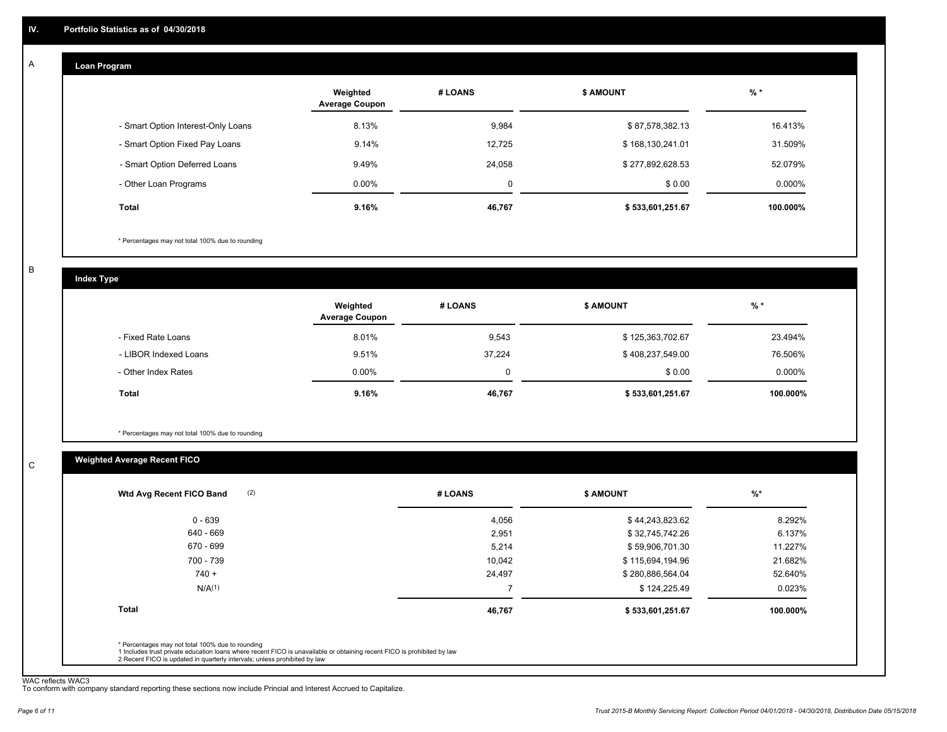#### **Loan Program**  A

|                                    | Weighted<br><b>Average Coupon</b> | # LOANS | <b>\$ AMOUNT</b> | $%$ *     |
|------------------------------------|-----------------------------------|---------|------------------|-----------|
| - Smart Option Interest-Only Loans | 8.13%                             | 9,984   | \$87,578,382.13  | 16.413%   |
| - Smart Option Fixed Pay Loans     | 9.14%                             | 12,725  | \$168,130,241.01 | 31.509%   |
| - Smart Option Deferred Loans      | 9.49%                             | 24.058  | \$277,892,628.53 | 52.079%   |
| - Other Loan Programs              | $0.00\%$                          | 0       | \$0.00           | $0.000\%$ |
| <b>Total</b>                       | 9.16%                             | 46,767  | \$533,601,251.67 | 100.000%  |

\* Percentages may not total 100% due to rounding

B

C

**Index Type**

|                       | Weighted<br><b>Average Coupon</b> | # LOANS     | <b>\$ AMOUNT</b> | $%$ *     |
|-----------------------|-----------------------------------|-------------|------------------|-----------|
| - Fixed Rate Loans    | 8.01%                             | 9,543       | \$125,363,702.67 | 23.494%   |
| - LIBOR Indexed Loans | 9.51%                             | 37.224      | \$408,237,549.00 | 76.506%   |
| - Other Index Rates   | $0.00\%$                          | $\mathbf 0$ | \$0.00           | $0.000\%$ |
| Total                 | 9.16%                             | 46,767      | \$533,601,251.67 | 100.000%  |

\* Percentages may not total 100% due to rounding

### **Weighted Average Recent FICO**

| 4,056  | \$44,243,823.62  | 8.292%   |
|--------|------------------|----------|
| 2,951  | \$32,745,742.26  | 6.137%   |
| 5,214  | \$59,906,701.30  | 11.227%  |
| 10,042 | \$115,694,194.96 | 21.682%  |
| 24,497 | \$280,886,564.04 | 52.640%  |
|        | \$124,225.49     | 0.023%   |
| 46,767 | \$533,601,251.67 | 100.000% |
|        |                  |          |

WAC reflects WAC3 To conform with company standard reporting these sections now include Princial and Interest Accrued to Capitalize.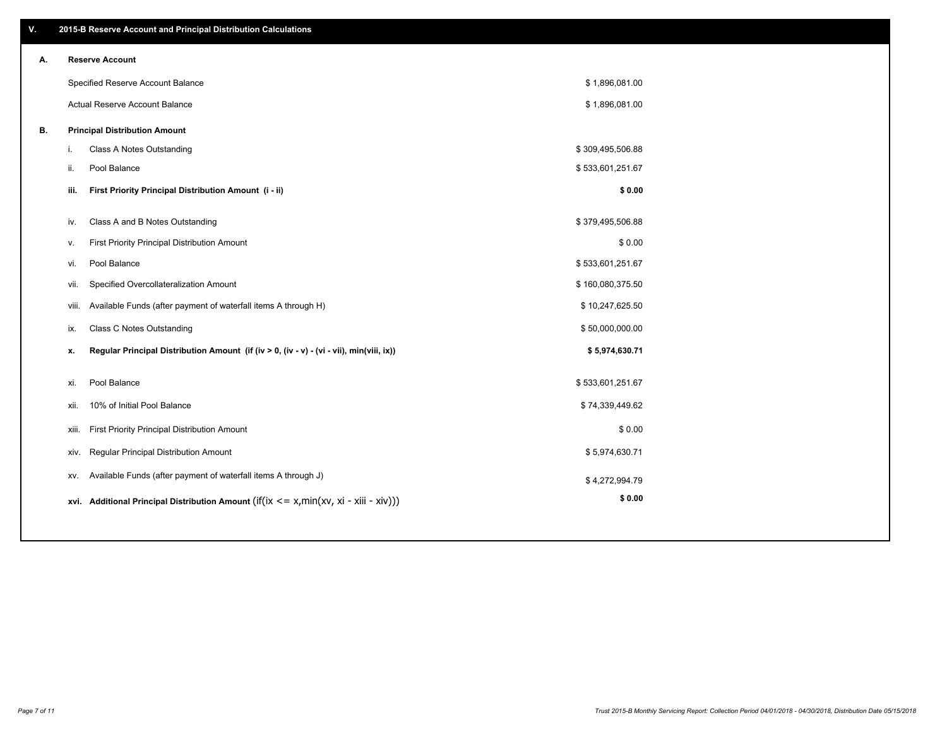| V. | 2015-B Reserve Account and Principal Distribution Calculations                                 |                  |  |
|----|------------------------------------------------------------------------------------------------|------------------|--|
| А. | <b>Reserve Account</b>                                                                         |                  |  |
|    | Specified Reserve Account Balance                                                              | \$1,896,081.00   |  |
|    | Actual Reserve Account Balance                                                                 | \$1,896,081.00   |  |
| В. | <b>Principal Distribution Amount</b>                                                           |                  |  |
|    | Class A Notes Outstanding<br>i.                                                                | \$309,495,506.88 |  |
|    | Pool Balance<br>ii.                                                                            | \$533,601,251.67 |  |
|    | First Priority Principal Distribution Amount (i - ii)<br>iii.                                  | \$0.00           |  |
|    |                                                                                                |                  |  |
|    | Class A and B Notes Outstanding<br>iv.                                                         | \$379,495,506.88 |  |
|    | First Priority Principal Distribution Amount<br>v.                                             | \$0.00           |  |
|    | Pool Balance<br>vi.                                                                            | \$533,601,251.67 |  |
|    | Specified Overcollateralization Amount<br>vii.                                                 | \$160,080,375.50 |  |
|    | Available Funds (after payment of waterfall items A through H)<br>viii.                        | \$10,247,625.50  |  |
|    | <b>Class C Notes Outstanding</b><br>ix.                                                        | \$50,000,000.00  |  |
|    | Regular Principal Distribution Amount (if (iv > 0, (iv - v) - (vi - vii), min(viii, ix))<br>x. | \$5,974,630.71   |  |
|    |                                                                                                |                  |  |
|    | Pool Balance<br>xi.                                                                            | \$533,601,251.67 |  |
|    | 10% of Initial Pool Balance<br>xii.                                                            | \$74,339,449.62  |  |
|    | First Priority Principal Distribution Amount<br>xiii.                                          | \$0.00           |  |
|    | Regular Principal Distribution Amount<br>xiv.                                                  | \$5,974,630.71   |  |
|    | Available Funds (after payment of waterfall items A through J)<br>XV.                          | \$4,272,994.79   |  |
|    | xvi. Additional Principal Distribution Amount (if(ix $\lt$ = x, min(xv, xi - xiii - xiv)))     | \$0.00           |  |
|    |                                                                                                |                  |  |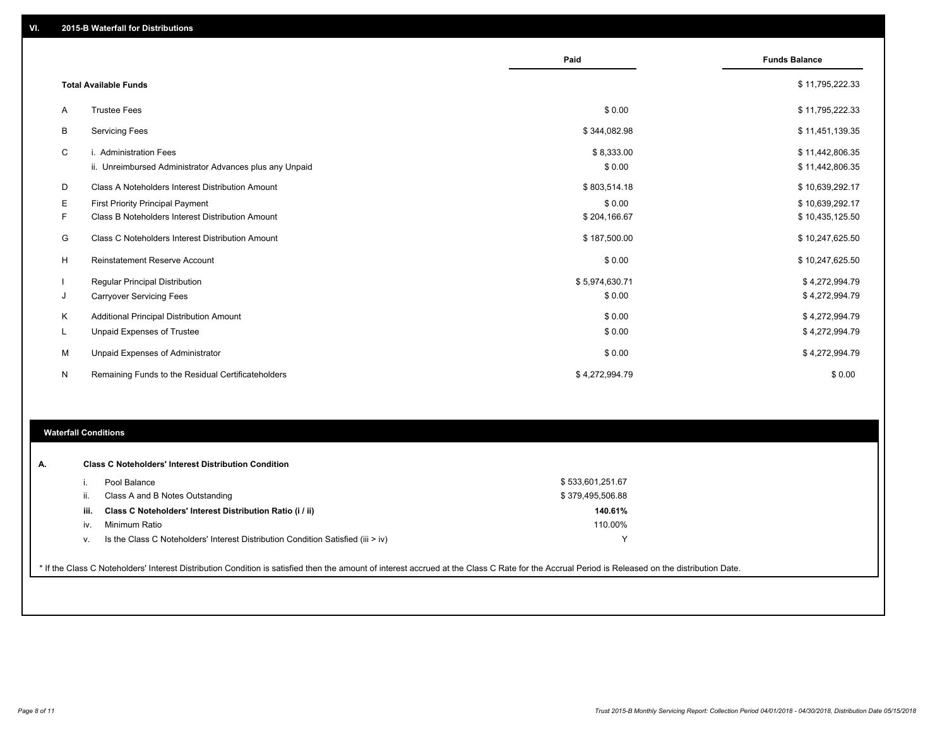|    |                                                         | Paid           | <b>Funds Balance</b> |
|----|---------------------------------------------------------|----------------|----------------------|
|    |                                                         |                |                      |
|    | <b>Total Available Funds</b>                            |                | \$11,795,222.33      |
| A  | <b>Trustee Fees</b>                                     | \$0.00         | \$11,795,222.33      |
| B  | <b>Servicing Fees</b>                                   | \$344,082.98   | \$11,451,139.35      |
| C  | i. Administration Fees                                  | \$8,333.00     | \$11,442,806.35      |
|    | ii. Unreimbursed Administrator Advances plus any Unpaid | \$0.00         | \$11,442,806.35      |
| D  | Class A Noteholders Interest Distribution Amount        | \$803,514.18   | \$10,639,292.17      |
| Е  | <b>First Priority Principal Payment</b>                 | \$0.00         | \$10,639,292.17      |
| F  | Class B Noteholders Interest Distribution Amount        | \$204,166.67   | \$10,435,125.50      |
| G  | Class C Noteholders Interest Distribution Amount        | \$187,500.00   | \$10,247,625.50      |
| H  | Reinstatement Reserve Account                           | \$0.00         | \$10,247,625.50      |
|    | <b>Regular Principal Distribution</b>                   | \$5,974,630.71 | \$4,272,994.79       |
| J  | <b>Carryover Servicing Fees</b>                         | \$0.00         | \$4,272,994.79       |
| Κ  | Additional Principal Distribution Amount                | \$0.00         | \$4,272,994.79       |
| L. | Unpaid Expenses of Trustee                              | \$0.00         | \$4,272,994.79       |
| м  | Unpaid Expenses of Administrator                        | \$0.00         | \$4,272,994.79       |
| N  | Remaining Funds to the Residual Certificateholders      | \$4,272,994.79 | \$0.00               |
|    |                                                         |                |                      |

#### **Waterfall Conditions**

|      | Pool Balance                                                                       | \$533,601,251.67 |  |
|------|------------------------------------------------------------------------------------|------------------|--|
|      | Class A and B Notes Outstanding                                                    | \$379,495,506.88 |  |
| iii. | Class C Noteholders' Interest Distribution Ratio (i / ii)                          | 140.61%          |  |
| iv.  | Minimum Ratio                                                                      | 110.00%          |  |
| V.   | Is the Class C Noteholders' Interest Distribution Condition Satisfied (iii $>$ iv) |                  |  |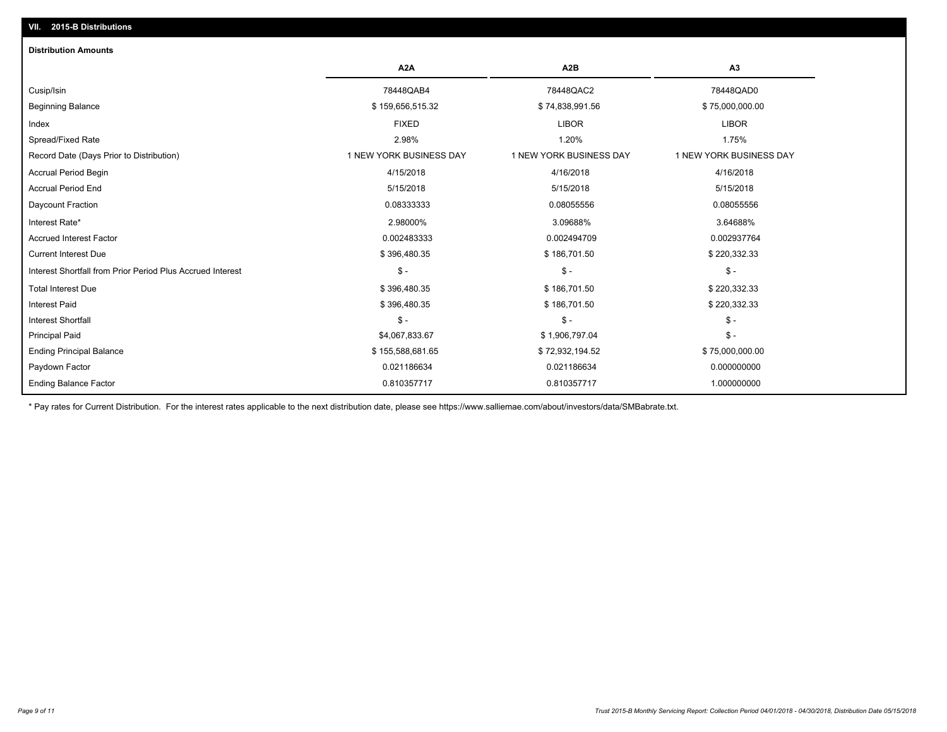## Ending Principal Balance \$ 75,000,000.00 \$ \$ 155,588,681.65 \$ 72,932,194.52 \$ 75,000,000.00 \$ 75,000,000.00 Principal Paid \$4,067,833.67 \$ 1,906,797.04 \$ - Interest Shortfall \$ - \$ - \$ - Interest Paid \$ 396,480.35 \$ 186,701.50 \$ 186,701.50 \$ 220,332.33 Total Interest Due \$ 396,480.35 \$ 186,701.50 \$ 220,332.33 Interest Shortfall from Prior Period Plus Accrued Interest \$ - \$ - \$ - Current Interest Due \$ 396,480.35 \$ 186,701.50 \$ 220,332.33 Accrued Interest Factor 0.002483333 0.002494709 0.002937764 Interest Rate\* 2.98000% 3.09688% 3.64688% Daycount Fraction 0.08333333 0.08055556 0.08055556 Accrual Period End 5/15/2018 5/15/2018 5/15/2018 Accrual Period Begin 4/15/2018 4/16/2018 4/16/2018 Record Date (Days Prior to Distribution) 1 1 NEW YORK BUSINESS DAY 1 NEW YORK BUSINESS DAY 1 NEW YORK BUSINESS DAY Spread/Fixed Rate 2.98% 1.20% 1.75% Index FIXED LIBOR LIBOR Beginning Balance \$ 75,000,000.00 \$ 159,656,515.32 \$ 74,838,991.56 \$ 75,000,000.00 \$ 75,000,000.00 Cusip/Isin 78448QAB4 78448QAC2 78448QAD0 **A2A A2B A3 Distribution Amounts VII. 2015-B Distributions**

Paydown Factor 0.021186634 0.021186634 0.000000000

0.810357717 0.810357717 1.000000000

\* Pay rates for Current Distribution. For the interest rates applicable to the next distribution date, please see https://www.salliemae.com/about/investors/data/SMBabrate.txt.

Ending Balance Factor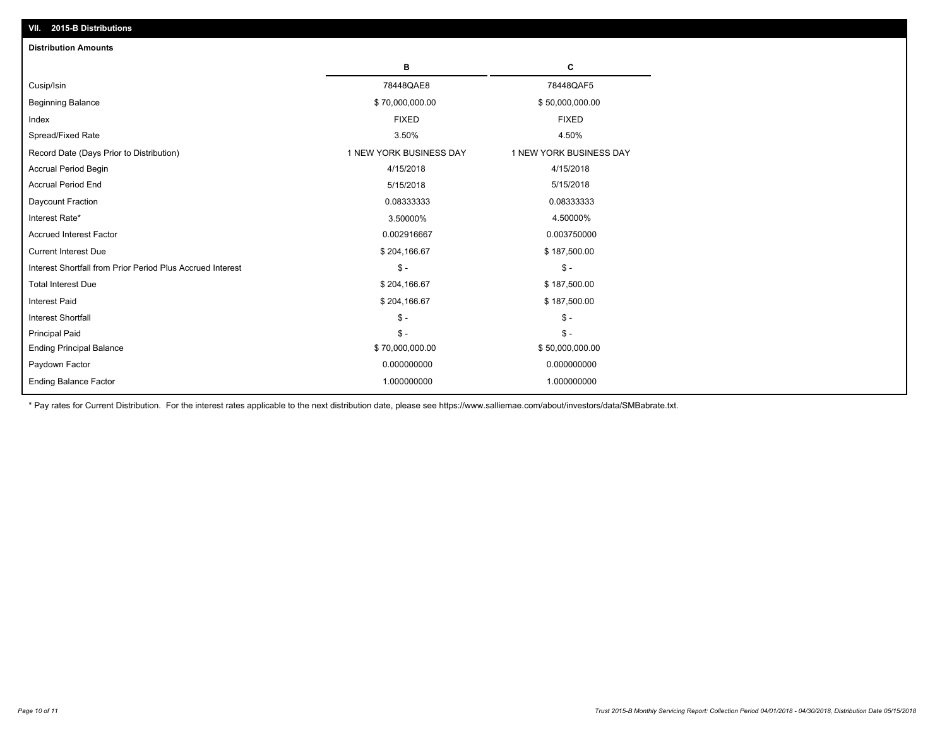| <b>Distribution Amounts</b>                                |                         |                         |
|------------------------------------------------------------|-------------------------|-------------------------|
|                                                            | в                       | C                       |
| Cusip/Isin                                                 | 78448QAE8               | 78448QAF5               |
| <b>Beginning Balance</b>                                   | \$70,000,000.00         | \$50,000,000.00         |
| Index                                                      | <b>FIXED</b>            | <b>FIXED</b>            |
| Spread/Fixed Rate                                          | 3.50%                   | 4.50%                   |
| Record Date (Days Prior to Distribution)                   | 1 NEW YORK BUSINESS DAY | 1 NEW YORK BUSINESS DAY |
| <b>Accrual Period Begin</b>                                | 4/15/2018               | 4/15/2018               |
| <b>Accrual Period End</b>                                  | 5/15/2018               | 5/15/2018               |
| Daycount Fraction                                          | 0.08333333              | 0.08333333              |
| Interest Rate*                                             | 3.50000%                | 4.50000%                |
| <b>Accrued Interest Factor</b>                             | 0.002916667             | 0.003750000             |
| <b>Current Interest Due</b>                                | \$204,166.67            | \$187,500.00            |
| Interest Shortfall from Prior Period Plus Accrued Interest | $\mathsf{\$}$ -         | $\mathsf{\$}$ -         |
| <b>Total Interest Due</b>                                  | \$204,166.67            | \$187,500.00            |
| <b>Interest Paid</b>                                       | \$204,166.67            | \$187,500.00            |
| <b>Interest Shortfall</b>                                  | $\mathsf{\$}$ -         | $\mathsf{\$}$ -         |
| <b>Principal Paid</b>                                      | $\mathsf{\$}$ -         | $S -$                   |
| <b>Ending Principal Balance</b>                            | \$70,000,000.00         | \$50,000,000.00         |
| Paydown Factor                                             | 0.000000000             | 0.000000000             |
| <b>Ending Balance Factor</b>                               | 1.000000000             | 1.000000000             |

\* Pay rates for Current Distribution. For the interest rates applicable to the next distribution date, please see https://www.salliemae.com/about/investors/data/SMBabrate.txt.

**VII. 2015-B Distributions**